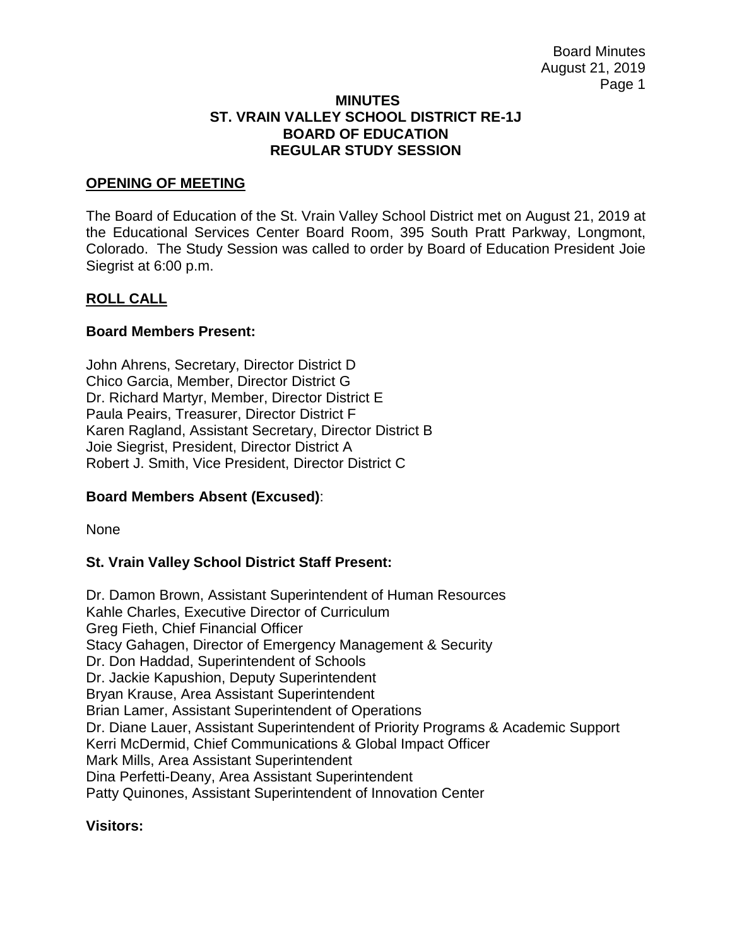#### **MINUTES ST. VRAIN VALLEY SCHOOL DISTRICT RE-1J BOARD OF EDUCATION REGULAR STUDY SESSION**

### **OPENING OF MEETING**

The Board of Education of the St. Vrain Valley School District met on August 21, 2019 at the Educational Services Center Board Room, 395 South Pratt Parkway, Longmont, Colorado. The Study Session was called to order by Board of Education President Joie Siegrist at 6:00 p.m.

### **ROLL CALL**

### **Board Members Present:**

John Ahrens, Secretary, Director District D Chico Garcia, Member, Director District G Dr. Richard Martyr, Member, Director District E Paula Peairs, Treasurer, Director District F Karen Ragland, Assistant Secretary, Director District B Joie Siegrist, President, Director District A Robert J. Smith, Vice President, Director District C

# **Board Members Absent (Excused)**:

None

# **St. Vrain Valley School District Staff Present:**

Dr. Damon Brown, Assistant Superintendent of Human Resources Kahle Charles, Executive Director of Curriculum Greg Fieth, Chief Financial Officer Stacy Gahagen, Director of Emergency Management & Security Dr. Don Haddad, Superintendent of Schools Dr. Jackie Kapushion, Deputy Superintendent Bryan Krause, Area Assistant Superintendent Brian Lamer, Assistant Superintendent of Operations Dr. Diane Lauer, Assistant Superintendent of Priority Programs & Academic Support Kerri McDermid, Chief Communications & Global Impact Officer Mark Mills, Area Assistant Superintendent Dina Perfetti-Deany, Area Assistant Superintendent Patty Quinones, Assistant Superintendent of Innovation Center

#### **Visitors:**